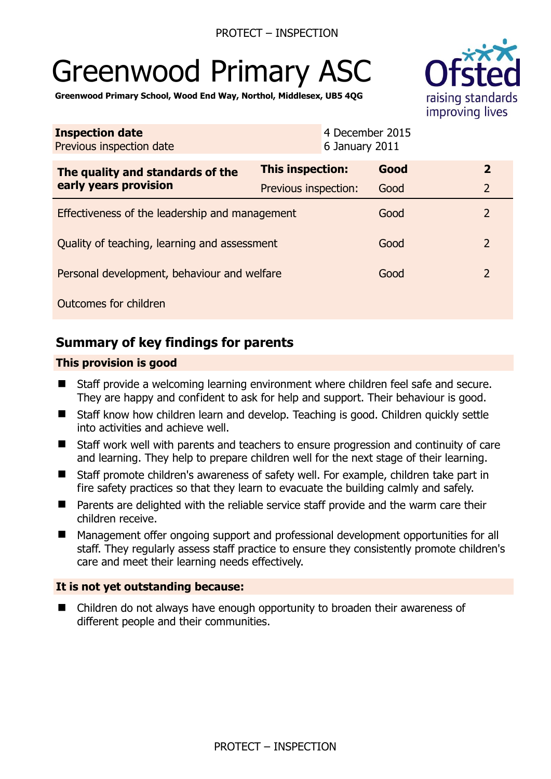# Greenwood Primary ASC



**Greenwood Primary School, Wood End Way, Northol, Middlesex, UB5 4QG** 

| <b>Inspection date</b><br>Previous inspection date        | 4 December 2015<br>6 January 2011 |      |                |
|-----------------------------------------------------------|-----------------------------------|------|----------------|
| The quality and standards of the<br>early years provision | <b>This inspection:</b>           | Good | $\mathbf{2}$   |
|                                                           | Previous inspection:              | Good | $\overline{2}$ |
| Effectiveness of the leadership and management            |                                   | Good | $\overline{2}$ |
| Quality of teaching, learning and assessment              |                                   | Good | $\overline{2}$ |
| Personal development, behaviour and welfare               |                                   | Good | $\overline{2}$ |
| Outcomes for children                                     |                                   |      |                |

# **Summary of key findings for parents**

#### **This provision is good**

- Staff provide a welcoming learning environment where children feel safe and secure. They are happy and confident to ask for help and support. Their behaviour is good.
- Staff know how children learn and develop. Teaching is good. Children quickly settle into activities and achieve well.
- Staff work well with parents and teachers to ensure progression and continuity of care and learning. They help to prepare children well for the next stage of their learning.
- Staff promote children's awareness of safety well. For example, children take part in fire safety practices so that they learn to evacuate the building calmly and safely.
- Parents are delighted with the reliable service staff provide and the warm care their children receive.
- Management offer ongoing support and professional development opportunities for all staff. They regularly assess staff practice to ensure they consistently promote children's care and meet their learning needs effectively.

#### **It is not yet outstanding because:**

 Children do not always have enough opportunity to broaden their awareness of different people and their communities.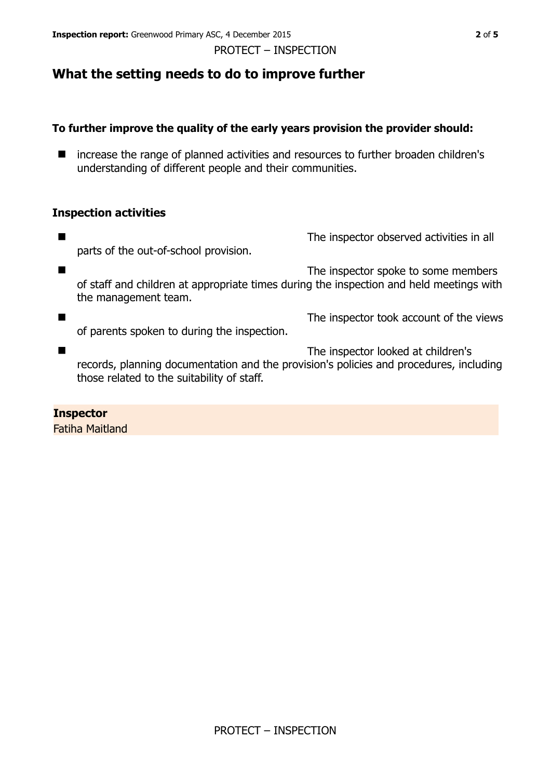## **What the setting needs to do to improve further**

#### **To further improve the quality of the early years provision the provider should:**

■ increase the range of planned activities and resources to further broaden children's understanding of different people and their communities.

#### **Inspection activities**

**The inspector observed activities in all** parts of the out-of-school provision. ■ The inspector spoke to some members of staff and children at appropriate times during the inspection and held meetings with the management team. ■ The inspector took account of the views of parents spoken to during the inspection. The inspector looked at children's

records, planning documentation and the provision's policies and procedures, including those related to the suitability of staff.

#### **Inspector**  Fatiha Maitland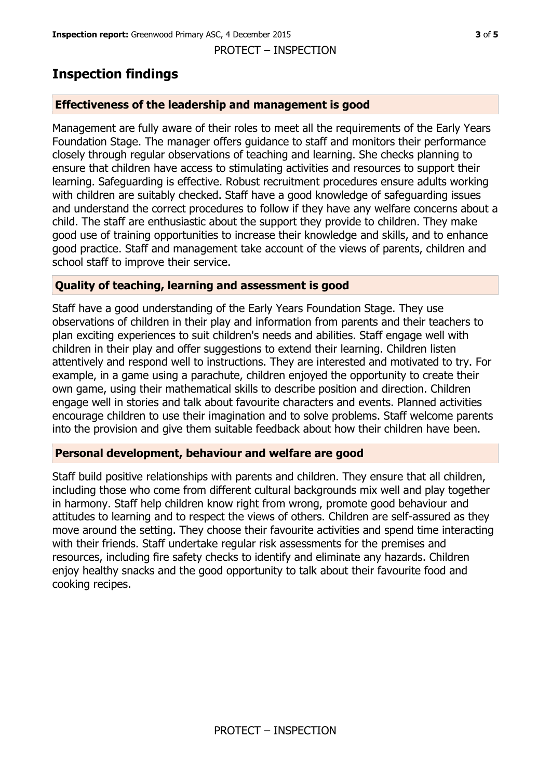### **Inspection findings**

#### **Effectiveness of the leadership and management is good**

Management are fully aware of their roles to meet all the requirements of the Early Years Foundation Stage. The manager offers guidance to staff and monitors their performance closely through regular observations of teaching and learning. She checks planning to ensure that children have access to stimulating activities and resources to support their learning. Safeguarding is effective. Robust recruitment procedures ensure adults working with children are suitably checked. Staff have a good knowledge of safeguarding issues and understand the correct procedures to follow if they have any welfare concerns about a child. The staff are enthusiastic about the support they provide to children. They make good use of training opportunities to increase their knowledge and skills, and to enhance good practice. Staff and management take account of the views of parents, children and school staff to improve their service.

#### **Quality of teaching, learning and assessment is good**

Staff have a good understanding of the Early Years Foundation Stage. They use observations of children in their play and information from parents and their teachers to plan exciting experiences to suit children's needs and abilities. Staff engage well with children in their play and offer suggestions to extend their learning. Children listen attentively and respond well to instructions. They are interested and motivated to try. For example, in a game using a parachute, children enjoyed the opportunity to create their own game, using their mathematical skills to describe position and direction. Children engage well in stories and talk about favourite characters and events. Planned activities encourage children to use their imagination and to solve problems. Staff welcome parents into the provision and give them suitable feedback about how their children have been.

#### **Personal development, behaviour and welfare are good**

Staff build positive relationships with parents and children. They ensure that all children, including those who come from different cultural backgrounds mix well and play together in harmony. Staff help children know right from wrong, promote good behaviour and attitudes to learning and to respect the views of others. Children are self-assured as they move around the setting. They choose their favourite activities and spend time interacting with their friends. Staff undertake regular risk assessments for the premises and resources, including fire safety checks to identify and eliminate any hazards. Children enjoy healthy snacks and the good opportunity to talk about their favourite food and cooking recipes.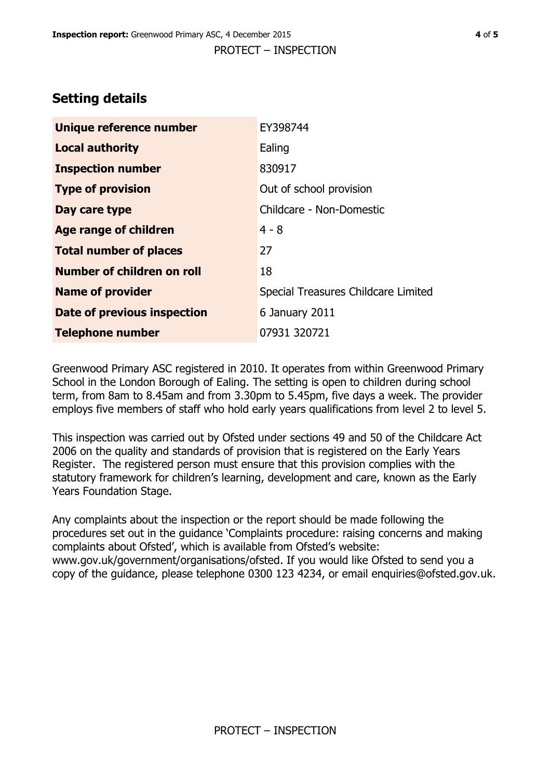# **Setting details**

| Unique reference number       | EY398744                            |
|-------------------------------|-------------------------------------|
| <b>Local authority</b>        | Ealing                              |
| <b>Inspection number</b>      | 830917                              |
| <b>Type of provision</b>      | Out of school provision             |
| Day care type                 | Childcare - Non-Domestic            |
| Age range of children         | $4 - 8$                             |
| <b>Total number of places</b> | 27                                  |
| Number of children on roll    | 18                                  |
| <b>Name of provider</b>       | Special Treasures Childcare Limited |
| Date of previous inspection   | 6 January 2011                      |
| <b>Telephone number</b>       | 07931 320721                        |

Greenwood Primary ASC registered in 2010. It operates from within Greenwood Primary School in the London Borough of Ealing. The setting is open to children during school term, from 8am to 8.45am and from 3.30pm to 5.45pm, five days a week. The provider employs five members of staff who hold early years qualifications from level 2 to level 5.

This inspection was carried out by Ofsted under sections 49 and 50 of the Childcare Act 2006 on the quality and standards of provision that is registered on the Early Years Register. The registered person must ensure that this provision complies with the statutory framework for children's learning, development and care, known as the Early Years Foundation Stage.

Any complaints about the inspection or the report should be made following the procedures set out in the guidance 'Complaints procedure: raising concerns and making complaints about Ofsted', which is available from Ofsted's website: www.gov.uk/government/organisations/ofsted. If you would like Ofsted to send you a copy of the guidance, please telephone 0300 123 4234, or email enquiries@ofsted.gov.uk.